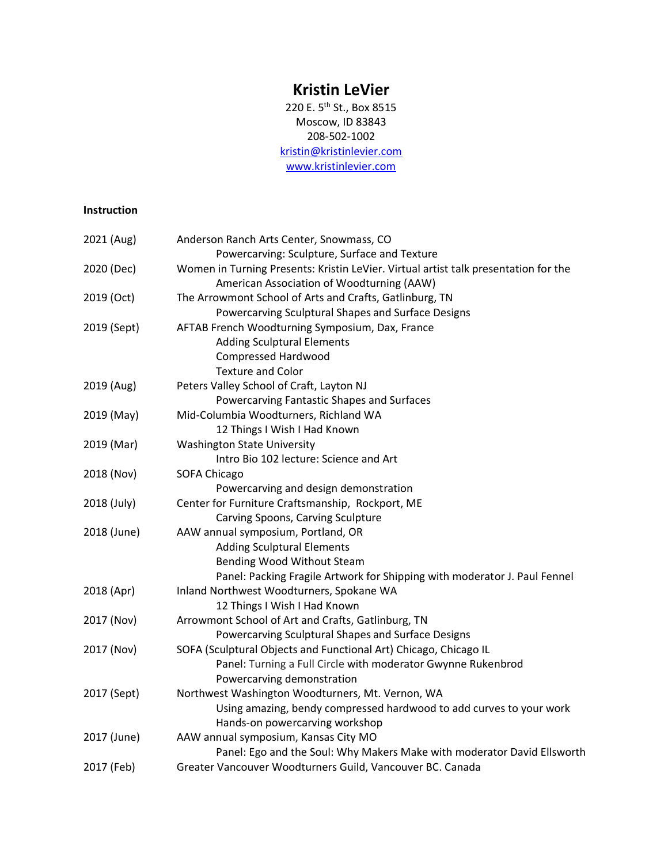## **Kristin LeVier**

220 E. 5<sup>th</sup> St., Box 8515 Moscow, ID 83843 208-502-1002 [kristin@kristinlevier.com](mailto:kristin@kristinlevier.com) [www.kristinlevier.com](http://www.kristinlevier.com/)

## **Instruction**

| 2021 (Aug)  | Anderson Ranch Arts Center, Snowmass, CO                                            |
|-------------|-------------------------------------------------------------------------------------|
|             | Powercarving: Sculpture, Surface and Texture                                        |
| 2020 (Dec)  | Women in Turning Presents: Kristin LeVier. Virtual artist talk presentation for the |
|             | American Association of Woodturning (AAW)                                           |
| 2019 (Oct)  | The Arrowmont School of Arts and Crafts, Gatlinburg, TN                             |
|             | Powercarving Sculptural Shapes and Surface Designs                                  |
| 2019 (Sept) | AFTAB French Woodturning Symposium, Dax, France                                     |
|             | <b>Adding Sculptural Elements</b>                                                   |
|             | <b>Compressed Hardwood</b>                                                          |
|             | <b>Texture and Color</b>                                                            |
| 2019 (Aug)  | Peters Valley School of Craft, Layton NJ                                            |
|             | Powercarving Fantastic Shapes and Surfaces                                          |
| 2019 (May)  | Mid-Columbia Woodturners, Richland WA                                               |
|             | 12 Things I Wish I Had Known                                                        |
| 2019 (Mar)  | <b>Washington State University</b>                                                  |
|             | Intro Bio 102 lecture: Science and Art                                              |
| 2018 (Nov)  | <b>SOFA Chicago</b>                                                                 |
|             | Powercarving and design demonstration                                               |
| 2018 (July) | Center for Furniture Craftsmanship, Rockport, ME                                    |
|             | Carving Spoons, Carving Sculpture                                                   |
| 2018 (June) | AAW annual symposium, Portland, OR                                                  |
|             | <b>Adding Sculptural Elements</b>                                                   |
|             | Bending Wood Without Steam                                                          |
|             | Panel: Packing Fragile Artwork for Shipping with moderator J. Paul Fennel           |
| 2018 (Apr)  | Inland Northwest Woodturners, Spokane WA                                            |
|             | 12 Things I Wish I Had Known                                                        |
| 2017 (Nov)  | Arrowmont School of Art and Crafts, Gatlinburg, TN                                  |
|             | Powercarving Sculptural Shapes and Surface Designs                                  |
| 2017 (Nov)  | SOFA (Sculptural Objects and Functional Art) Chicago, Chicago IL                    |
|             | Panel: Turning a Full Circle with moderator Gwynne Rukenbrod                        |
|             | Powercarving demonstration                                                          |
| 2017 (Sept) | Northwest Washington Woodturners, Mt. Vernon, WA                                    |
|             | Using amazing, bendy compressed hardwood to add curves to your work                 |
|             | Hands-on powercarving workshop                                                      |
| 2017 (June) | AAW annual symposium, Kansas City MO                                                |
|             | Panel: Ego and the Soul: Why Makers Make with moderator David Ellsworth             |
| 2017 (Feb)  | Greater Vancouver Woodturners Guild, Vancouver BC. Canada                           |
|             |                                                                                     |